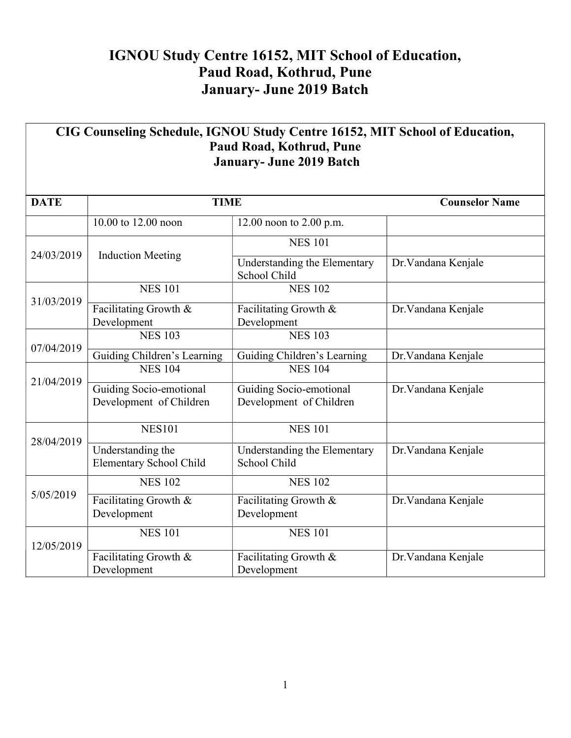## IGNOU Study Centre 16152, MIT School of Education, Paud Road, Kothrud, Pune January- June 2019 Batch

| CIG Counseling Schedule, IGNOU Study Centre 16152, MIT School of Education,<br>Paud Road, Kothrud, Pune<br><b>January- June 2019 Batch</b> |                                                     |                                                    |                       |  |
|--------------------------------------------------------------------------------------------------------------------------------------------|-----------------------------------------------------|----------------------------------------------------|-----------------------|--|
| <b>DATE</b>                                                                                                                                | <b>TIME</b>                                         |                                                    | <b>Counselor Name</b> |  |
|                                                                                                                                            | 10.00 to 12.00 noon                                 | 12.00 noon to 2.00 p.m.                            |                       |  |
| 24/03/2019                                                                                                                                 | <b>Induction Meeting</b>                            | <b>NES 101</b>                                     |                       |  |
|                                                                                                                                            |                                                     | Understanding the Elementary<br>School Child       | Dr. Vandana Kenjale   |  |
| 31/03/2019                                                                                                                                 | <b>NES 101</b>                                      | <b>NES 102</b>                                     |                       |  |
|                                                                                                                                            | Facilitating Growth &<br>Development                | Facilitating Growth &<br>Development               | Dr. Vandana Kenjale   |  |
|                                                                                                                                            | <b>NES 103</b>                                      | <b>NES 103</b>                                     |                       |  |
| 07/04/2019                                                                                                                                 | Guiding Children's Learning                         | Guiding Children's Learning                        | Dr. Vandana Kenjale   |  |
|                                                                                                                                            | <b>NES 104</b>                                      | <b>NES 104</b>                                     |                       |  |
| 21/04/2019                                                                                                                                 | Guiding Socio-emotional<br>Development of Children  | Guiding Socio-emotional<br>Development of Children | Dr. Vandana Kenjale   |  |
|                                                                                                                                            | <b>NES101</b>                                       | <b>NES 101</b>                                     |                       |  |
| 28/04/2019                                                                                                                                 | Understanding the<br><b>Elementary School Child</b> | Understanding the Elementary<br>School Child       | Dr. Vandana Kenjale   |  |
| 5/05/2019                                                                                                                                  | <b>NES 102</b>                                      | <b>NES 102</b>                                     |                       |  |
|                                                                                                                                            | Facilitating Growth &<br>Development                | Facilitating Growth &<br>Development               | Dr. Vandana Kenjale   |  |
| 12/05/2019                                                                                                                                 | <b>NES 101</b>                                      | <b>NES 101</b>                                     |                       |  |
|                                                                                                                                            | Facilitating Growth &<br>Development                | Facilitating Growth &<br>Development               | Dr. Vandana Kenjale   |  |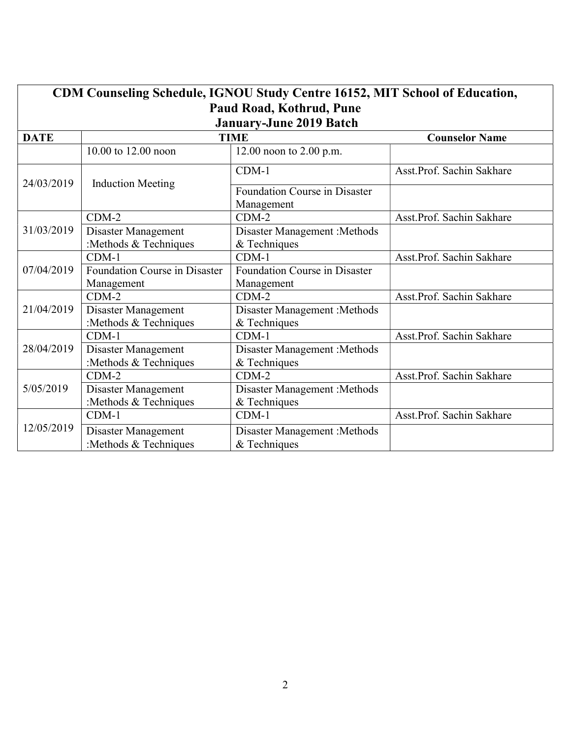| CDM Counseling Schedule, IGNOU Study Centre 16152, MIT School of Education, |                                              |                                                      |                           |  |
|-----------------------------------------------------------------------------|----------------------------------------------|------------------------------------------------------|---------------------------|--|
| <b>Paud Road, Kothrud, Pune</b>                                             |                                              |                                                      |                           |  |
| <b>January-June 2019 Batch</b>                                              |                                              |                                                      |                           |  |
| <b>DATE</b>                                                                 | <b>TIME</b>                                  |                                                      | <b>Counselor Name</b>     |  |
|                                                                             | 10.00 to 12.00 noon                          | 12.00 noon to $2.00$ p.m.                            |                           |  |
| 24/03/2019                                                                  | <b>Induction Meeting</b>                     | $CDM-1$                                              | Asst.Prof. Sachin Sakhare |  |
|                                                                             |                                              | Foundation Course in Disaster<br>Management          |                           |  |
|                                                                             | $CDM-2$                                      | $CDM-2$                                              | Asst.Prof. Sachin Sakhare |  |
| 31/03/2019                                                                  | Disaster Management<br>:Methods & Techniques | <b>Disaster Management : Methods</b><br>& Techniques |                           |  |
|                                                                             | $CDM-1$                                      | $CDM-1$                                              | Asst.Prof. Sachin Sakhare |  |
| 07/04/2019                                                                  | Foundation Course in Disaster                | Foundation Course in Disaster                        |                           |  |
|                                                                             | Management                                   | Management                                           |                           |  |
|                                                                             | $CDM-2$                                      | $CDM-2$                                              | Asst.Prof. Sachin Sakhare |  |
| 21/04/2019                                                                  | Disaster Management<br>:Methods & Techniques | Disaster Management: Methods<br>& Techniques         |                           |  |
|                                                                             | $CDM-1$                                      | $CDM-1$                                              | Asst.Prof. Sachin Sakhare |  |
| 28/04/2019                                                                  | Disaster Management<br>:Methods & Techniques | Disaster Management: Methods<br>& Techniques         |                           |  |
| 5/05/2019                                                                   | $CDM-2$                                      | $CDM-2$                                              | Asst.Prof. Sachin Sakhare |  |
|                                                                             | Disaster Management                          | Disaster Management: Methods                         |                           |  |
|                                                                             | :Methods & Techniques                        | & Techniques                                         |                           |  |
|                                                                             | $CDM-1$                                      | $CDM-1$                                              | Asst.Prof. Sachin Sakhare |  |
| 12/05/2019                                                                  | Disaster Management                          | Disaster Management: Methods                         |                           |  |
|                                                                             | :Methods & Techniques                        | & Techniques                                         |                           |  |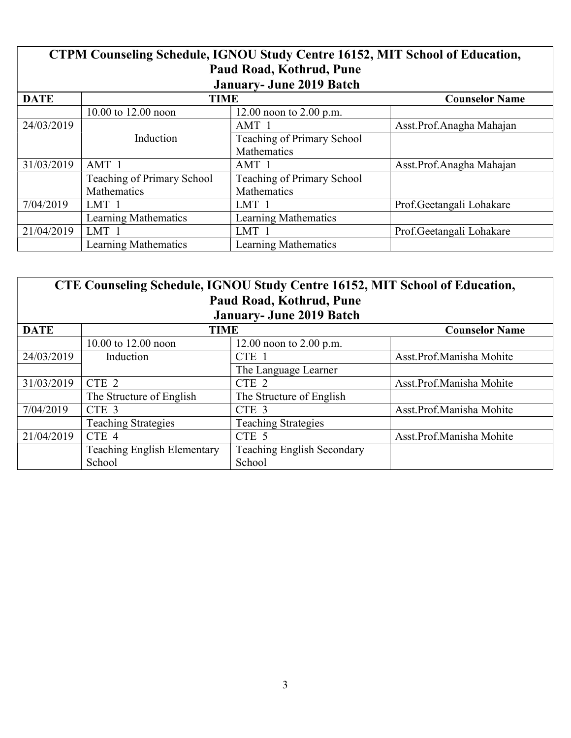| CTPM Counseling Schedule, IGNOU Study Centre 16152, MIT School of Education, |                             |                             |                          |  |
|------------------------------------------------------------------------------|-----------------------------|-----------------------------|--------------------------|--|
| Paud Road, Kothrud, Pune                                                     |                             |                             |                          |  |
| <b>January- June 2019 Batch</b>                                              |                             |                             |                          |  |
| <b>DATE</b>                                                                  | <b>TIME</b>                 |                             | <b>Counselor Name</b>    |  |
|                                                                              | 10.00 to 12.00 noon         | 12.00 noon to $2.00$ p.m.   |                          |  |
| 24/03/2019                                                                   |                             | AMT 1                       | Asst.Prof.Anagha Mahajan |  |
|                                                                              | Induction                   | Teaching of Primary School  |                          |  |
|                                                                              |                             | Mathematics                 |                          |  |
| 31/03/2019                                                                   | AMT 1                       | AMT 1                       | Asst.Prof.Anagha Mahajan |  |
|                                                                              | Teaching of Primary School  | Teaching of Primary School  |                          |  |
|                                                                              | Mathematics                 | Mathematics                 |                          |  |
| 7/04/2019                                                                    | LMT 1                       | LMT 1                       | Prof.Geetangali Lohakare |  |
|                                                                              | <b>Learning Mathematics</b> | <b>Learning Mathematics</b> |                          |  |
| 21/04/2019                                                                   | LMT 1                       | LMT 1                       | Prof.Geetangali Lohakare |  |
|                                                                              | <b>Learning Mathematics</b> | Learning Mathematics        |                          |  |

| <b>CTE Counseling Schedule, IGNOU Study Centre 16152, MIT School of Education,</b><br>Paud Road, Kothrud, Pune<br><b>January- June 2019 Batch</b> |                             |                                   |                          |  |
|---------------------------------------------------------------------------------------------------------------------------------------------------|-----------------------------|-----------------------------------|--------------------------|--|
| <b>DATE</b>                                                                                                                                       | <b>TIME</b>                 |                                   | <b>Counselor Name</b>    |  |
|                                                                                                                                                   | 10.00 to 12.00 noon         | 12.00 noon to $2.00$ p.m.         |                          |  |
| 24/03/2019                                                                                                                                        | Induction                   | CTE 1                             | Asst.Prof.Manisha Mohite |  |
|                                                                                                                                                   |                             | The Language Learner              |                          |  |
| 31/03/2019                                                                                                                                        | CTE 2                       | CTE 2                             | Asst.Prof.Manisha Mohite |  |
|                                                                                                                                                   | The Structure of English    | The Structure of English          |                          |  |
| 7/04/2019                                                                                                                                         | CTE <sub>3</sub>            | CTE <sub>3</sub>                  | Asst.Prof.Manisha Mohite |  |
|                                                                                                                                                   | <b>Teaching Strategies</b>  | <b>Teaching Strategies</b>        |                          |  |
| 21/04/2019                                                                                                                                        | CTE 4                       | CTE <sub>5</sub>                  | Asst.Prof.Manisha Mohite |  |
|                                                                                                                                                   | Teaching English Elementary | <b>Teaching English Secondary</b> |                          |  |
|                                                                                                                                                   | School                      | School                            |                          |  |